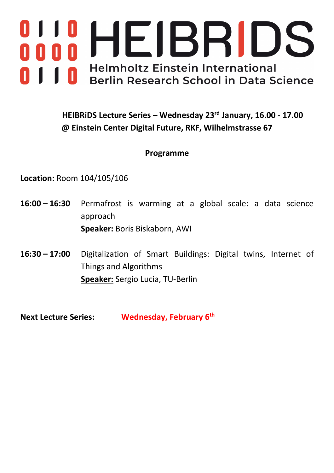

**HEIBRiDS Lecture Series – Wednesday 23rd January, 16.00 - 17.00 @ Einstein Center Digital Future, RKF, Wilhelmstrasse 67**

### **Programme**

**Location:** Room 104/105/106

- **16:00 – 16:30** Permafrost is warming at a global scale: a data science approach **Speaker:** Boris Biskaborn, AWI
- **16:30 – 17:00** Digitalization of Smart Buildings: Digital twins, Internet of Things and Algorithms **Speaker:** Sergio Lucia, TU-Berlin

**Next Lecture Series: Wednesday, February 6th**